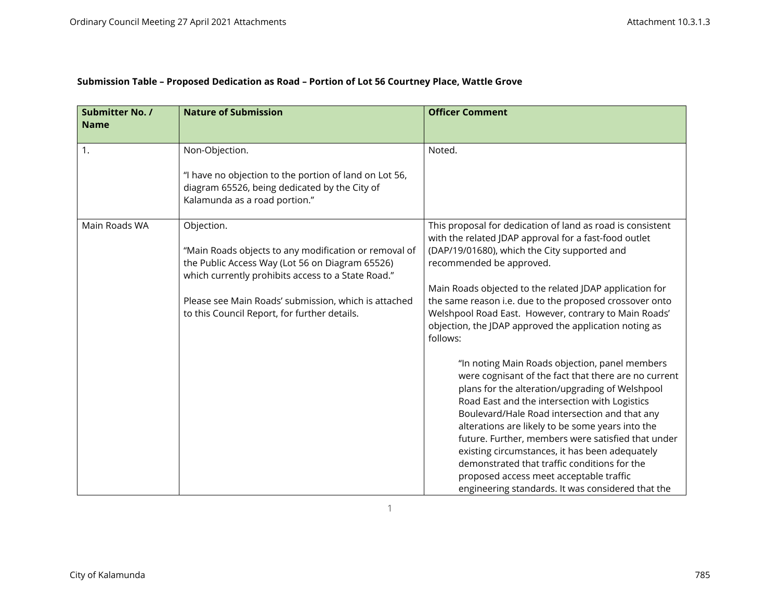| Submission Table - Proposed Dedication as Road - Portion of Lot 56 Courtney Place, Wattle Grove |
|-------------------------------------------------------------------------------------------------|
|-------------------------------------------------------------------------------------------------|

| Submitter No. /<br><b>Name</b> | <b>Nature of Submission</b>                                                                                                                                                                                                                                                          | <b>Officer Comment</b>                                                                                                                                                                                                                                                                                                                                                                                                                                                                                                                                                                                                                                             |
|--------------------------------|--------------------------------------------------------------------------------------------------------------------------------------------------------------------------------------------------------------------------------------------------------------------------------------|--------------------------------------------------------------------------------------------------------------------------------------------------------------------------------------------------------------------------------------------------------------------------------------------------------------------------------------------------------------------------------------------------------------------------------------------------------------------------------------------------------------------------------------------------------------------------------------------------------------------------------------------------------------------|
| 1.                             | Non-Objection.<br>"I have no objection to the portion of land on Lot 56,<br>diagram 65526, being dedicated by the City of<br>Kalamunda as a road portion."                                                                                                                           | Noted.                                                                                                                                                                                                                                                                                                                                                                                                                                                                                                                                                                                                                                                             |
| Main Roads WA                  | Objection.<br>"Main Roads objects to any modification or removal of<br>the Public Access Way (Lot 56 on Diagram 65526)<br>which currently prohibits access to a State Road."<br>Please see Main Roads' submission, which is attached<br>to this Council Report, for further details. | This proposal for dedication of land as road is consistent<br>with the related JDAP approval for a fast-food outlet<br>(DAP/19/01680), which the City supported and<br>recommended be approved.<br>Main Roads objected to the related JDAP application for<br>the same reason i.e. due to the proposed crossover onto<br>Welshpool Road East. However, contrary to Main Roads'<br>objection, the JDAP approved the application noting as<br>follows:<br>"In noting Main Roads objection, panel members<br>were cognisant of the fact that there are no current<br>plans for the alteration/upgrading of Welshpool<br>Road East and the intersection with Logistics |
|                                |                                                                                                                                                                                                                                                                                      | Boulevard/Hale Road intersection and that any<br>alterations are likely to be some years into the<br>future. Further, members were satisfied that under<br>existing circumstances, it has been adequately<br>demonstrated that traffic conditions for the<br>proposed access meet acceptable traffic<br>engineering standards. It was considered that the                                                                                                                                                                                                                                                                                                          |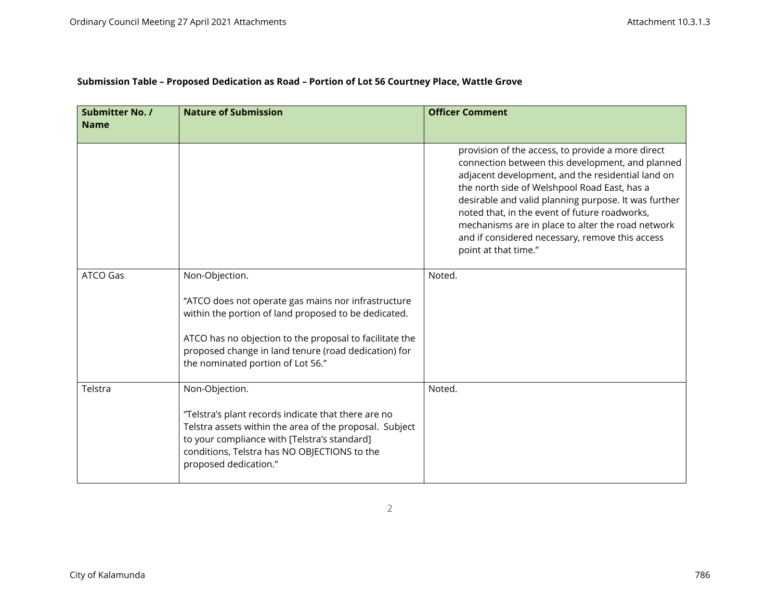| Submission Table - Proposed Dedication as Road - Portion of Lot 56 Courtney Place, Wattle Grove |  |  |
|-------------------------------------------------------------------------------------------------|--|--|
|                                                                                                 |  |  |

| <b>Submitter No. /</b><br><b>Name</b> | <b>Nature of Submission</b>                                                                                                                                                                                                                                                           | <b>Officer Comment</b>                                                                                                                                                                                                                                                                                                                                                                                                                              |
|---------------------------------------|---------------------------------------------------------------------------------------------------------------------------------------------------------------------------------------------------------------------------------------------------------------------------------------|-----------------------------------------------------------------------------------------------------------------------------------------------------------------------------------------------------------------------------------------------------------------------------------------------------------------------------------------------------------------------------------------------------------------------------------------------------|
|                                       |                                                                                                                                                                                                                                                                                       | provision of the access, to provide a more direct<br>connection between this development, and planned<br>adjacent development, and the residential land on<br>the north side of Welshpool Road East, has a<br>desirable and valid planning purpose. It was further<br>noted that, in the event of future roadworks,<br>mechanisms are in place to alter the road network<br>and if considered necessary, remove this access<br>point at that time." |
| <b>ATCO Gas</b>                       | Non-Objection.<br>"ATCO does not operate gas mains nor infrastructure<br>within the portion of land proposed to be dedicated.<br>ATCO has no objection to the proposal to facilitate the<br>proposed change in land tenure (road dedication) for<br>the nominated portion of Lot 56." | Noted.                                                                                                                                                                                                                                                                                                                                                                                                                                              |
| Telstra                               | Non-Objection.<br>"Telstra's plant records indicate that there are no<br>Telstra assets within the area of the proposal. Subject<br>to your compliance with [Telstra's standard]<br>conditions, Telstra has NO OBJECTIONS to the<br>proposed dedication."                             | Noted.                                                                                                                                                                                                                                                                                                                                                                                                                                              |